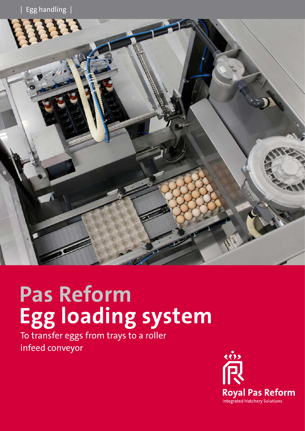

# **Pas Reform Egg loading system**

To transfer eggs from trays to a roller infeed conveyor